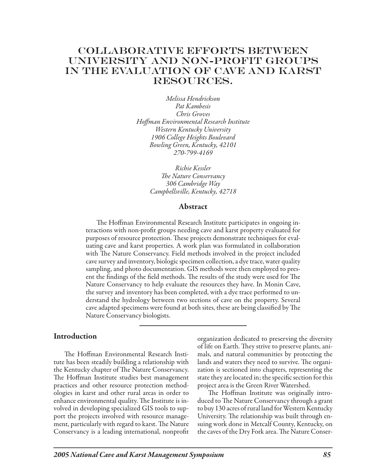# Collaborative Efforts Between University and Non-Profit Groups in The Evaluation of Cave and Karst RESOURCES.

*Melissa Hendrickson Pat Kambesis Chris Groves Hoffman Environmental Research Institute Western Kentucky University 1906 College Heights Boulevard Bowling Green, Kentucky, 42101 270-799-4169*

> *Richie Kessler The Nature Conservancy 306 Cambridge Way Campbellsville, Kentucky, 42718*

### Abstract

The Hoffman Environmental Research Institute participates in ongoing interactions with non-profit groups needing cave and karst property evaluated for purposes of resource protection. These projects demonstrate techniques for evaluating cave and karst properties. A work plan was formulated in collaboration with The Nature Conservancy. Field methods involved in the project included cave survey and inventory, biologic specimen collection, a dye trace, water quality sampling, and photo documentation. GIS methods were then employed to present the findings of the field methods. The results of the study were used for The Nature Conservancy to help evaluate the resources they have. In Monin Cave, the survey and inventory has been completed, with a dye trace performed to understand the hydrology between two sections of cave on the property. Several cave adapted specimens were found at both sites, these are being classified by The Nature Conservancy biologists.

#### **Introduction**

The Hoffman Environmental Research Institute has been steadily building a relationship with the Kentucky chapter of The Nature Conservancy. The Hoffman Institute studies best management practices and other resource protection methodologies in karst and other rural areas in order to enhance environmental quality. The Institute is involved in developing specialized GIS tools to support the projects involved with resource management, particularly with regard to karst. The Nature Conservancy is a leading international, nonprofit organization dedicated to preserving the diversity of life on Earth. They strive to preserve plants, animals, and natural communities by protecting the lands and waters they need to survive. The organization is sectioned into chapters, representing the state they are located in; the specific section for this project area is the Green River Watershed.

The Hoffman Institute was originally introduced to The Nature Conservancy through a grant to buy 130 acres of rural land for Western Kentucky University. The relationship was built through ensuing work done in Metcalf County, Kentucky, on the caves of the Dry Fork area. The Nature Conser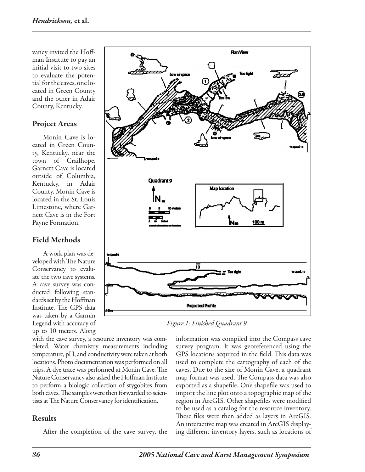vancy invited the Hoffman Institute to pay an initial visit to two sites to evaluate the potential for the caves, one located in Green County and the other in Adair County, Kentucky.

## Project Areas

Monin Cave is located in Green County, Kentucky, near the town of Crailhope. Garnett Cave is located outside of Columbia, Kentucky, in Adair County. Monin Cave is located in the St. Louis Limestone, where Garnett Cave is in the Fort Payne Formation.

## Field Methods

A work plan was developed with The Nature Conservancy to evaluate the two cave systems. A cave survey was conducted following standards set by the Hoffman Institute. The GPS data was taken by a Garmin Legend with accuracy of up to 10 meters. Along

with the cave survey, a resource inventory was completed. Water chemistry measurements including temperature, pH, and conductivity were taken at both locations. Photo documentation was performed on all trips. A dye trace was performed at Monin Cave. The Nature Conservancy also asked the Hoffman Institute to perform a biologic collection of stygobites from both caves. The samples were then forwarded to scientists at The Nature Conservancy for identification.

## Results

After the completion of the cave survey, the



*Figure 1: Finished Quadrant 9.*

information was compiled into the Compass cave survey program. It was georeferenced using the GPS locations acquired in the field. This data was used to complete the cartography of each of the caves. Due to the size of Monin Cave, a quadrant map format was used. The Compass data was also exported as a shapefile. One shapefile was used to import the line plot onto a topographic map of the region in ArcGIS. Other shapefiles were modified to be used as a catalog for the resource inventory. These files were then added as layers in ArcGIS. An interactive map was created in ArcGIS displaying different inventory layers, such as locations of